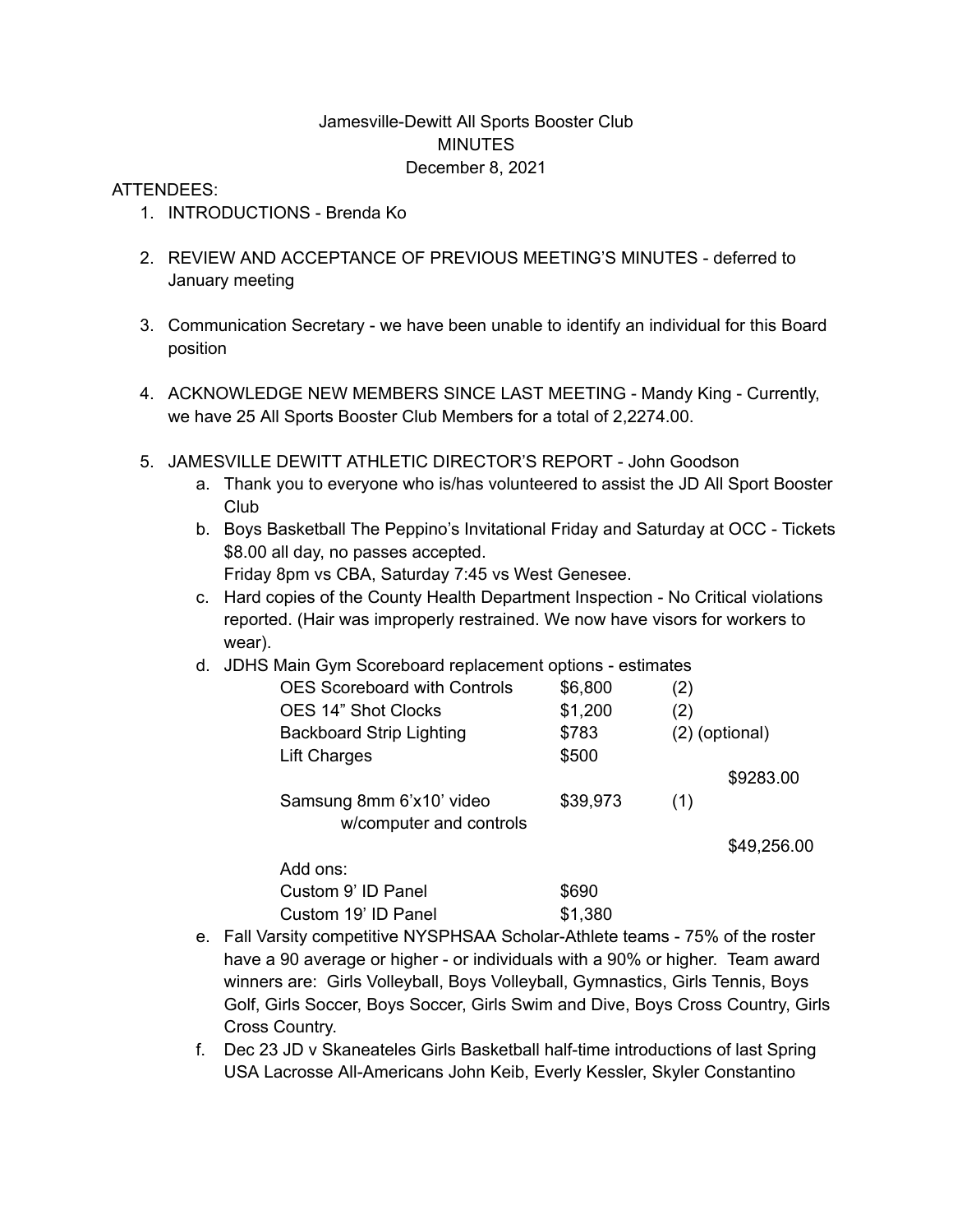## Jamesville-Dewitt All Sports Booster Club MINUTES December 8, 2021

## ATTENDEES:

- 1. INTRODUCTIONS Brenda Ko
- 2. REVIEW AND ACCEPTANCE OF PREVIOUS MEETING'S MINUTES deferred to January meeting
- 3. Communication Secretary we have been unable to identify an individual for this Board position
- 4. ACKNOWLEDGE NEW MEMBERS SINCE LAST MEETING Mandy King Currently, we have 25 All Sports Booster Club Members for a total of 2,2274.00.
- 5. JAMESVILLE DEWITT ATHLETIC DIRECTOR'S REPORT John Goodson
	- a. Thank you to everyone who is/has volunteered to assist the JD All Sport Booster Club
	- b. Boys Basketball The Peppino's Invitational Friday and Saturday at OCC Tickets \$8.00 all day, no passes accepted. Friday 8pm vs CBA, Saturday 7:45 vs West Genesee.
	- c. Hard copies of the County Health Department Inspection No Critical violations
	- reported. (Hair was improperly restrained. We now have visors for workers to wear).
	- d. JDHS Main Gym Scoreboard replacement options estimates

| <b>OES Scoreboard with Controls</b> | \$6,800  | (2)            |             |
|-------------------------------------|----------|----------------|-------------|
| <b>OES 14" Shot Clocks</b>          | \$1,200  | (2)            |             |
| <b>Backboard Strip Lighting</b>     | \$783    | (2) (optional) |             |
| Lift Charges                        | \$500    |                |             |
|                                     |          |                | \$9283.00   |
| Samsung 8mm 6'x10' video            | \$39,973 | (1)            |             |
| w/computer and controls             |          |                |             |
|                                     |          |                | \$49,256.00 |
| Add ons:                            |          |                |             |
| Custom 9' ID Panel                  | \$690    |                |             |
| Custom 19' ID Panel                 | \$1,380  |                |             |

- e. Fall Varsity competitive NYSPHSAA Scholar-Athlete teams 75% of the roster have a 90 average or higher - or individuals with a 90% or higher. Team award winners are: Girls Volleyball, Boys Volleyball, Gymnastics, Girls Tennis, Boys Golf, Girls Soccer, Boys Soccer, Girls Swim and Dive, Boys Cross Country, Girls Cross Country.
- f. Dec 23 JD v Skaneateles Girls Basketball half-time introductions of last Spring USA Lacrosse All-Americans John Keib, Everly Kessler, Skyler Constantino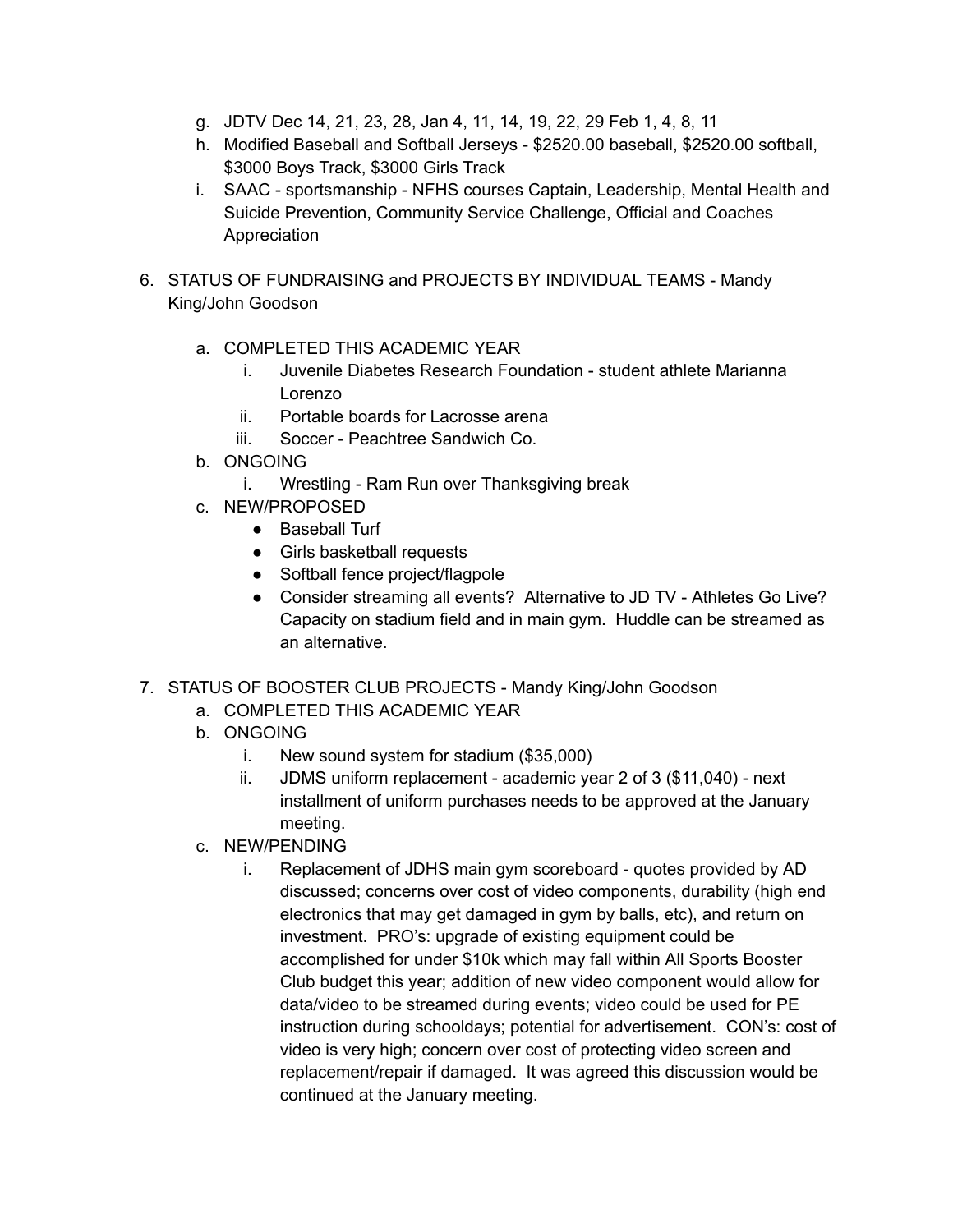- g. JDTV Dec 14, 21, 23, 28, Jan 4, 11, 14, 19, 22, 29 Feb 1, 4, 8, 11
- h. Modified Baseball and Softball Jerseys \$2520.00 baseball, \$2520.00 softball, \$3000 Boys Track, \$3000 Girls Track
- i. SAAC sportsmanship NFHS courses Captain, Leadership, Mental Health and Suicide Prevention, Community Service Challenge, Official and Coaches Appreciation
- 6. STATUS OF FUNDRAISING and PROJECTS BY INDIVIDUAL TEAMS Mandy King/John Goodson
	- a. COMPLETED THIS ACADEMIC YEAR
		- i. Juvenile Diabetes Research Foundation student athlete Marianna Lorenzo
		- ii. Portable boards for Lacrosse arena
		- iii. Soccer Peachtree Sandwich Co.
	- b. ONGOING
		- i. Wrestling Ram Run over Thanksgiving break
	- c. NEW/PROPOSED
		- Baseball Turf
		- Girls basketball requests
		- Softball fence project/flagpole
		- Consider streaming all events? Alternative to JD TV Athletes Go Live? Capacity on stadium field and in main gym. Huddle can be streamed as an alternative.
- 7. STATUS OF BOOSTER CLUB PROJECTS Mandy King/John Goodson
	- a. COMPLETED THIS ACADEMIC YEAR
	- b. ONGOING
		- i. New sound system for stadium (\$35,000)
		- ii. JDMS uniform replacement academic year 2 of 3 (\$11,040) next installment of uniform purchases needs to be approved at the January meeting.
	- c. NEW/PENDING
		- i. Replacement of JDHS main gym scoreboard quotes provided by AD discussed; concerns over cost of video components, durability (high end electronics that may get damaged in gym by balls, etc), and return on investment. PRO's: upgrade of existing equipment could be accomplished for under \$10k which may fall within All Sports Booster Club budget this year; addition of new video component would allow for data/video to be streamed during events; video could be used for PE instruction during schooldays; potential for advertisement. CON's: cost of video is very high; concern over cost of protecting video screen and replacement/repair if damaged. It was agreed this discussion would be continued at the January meeting.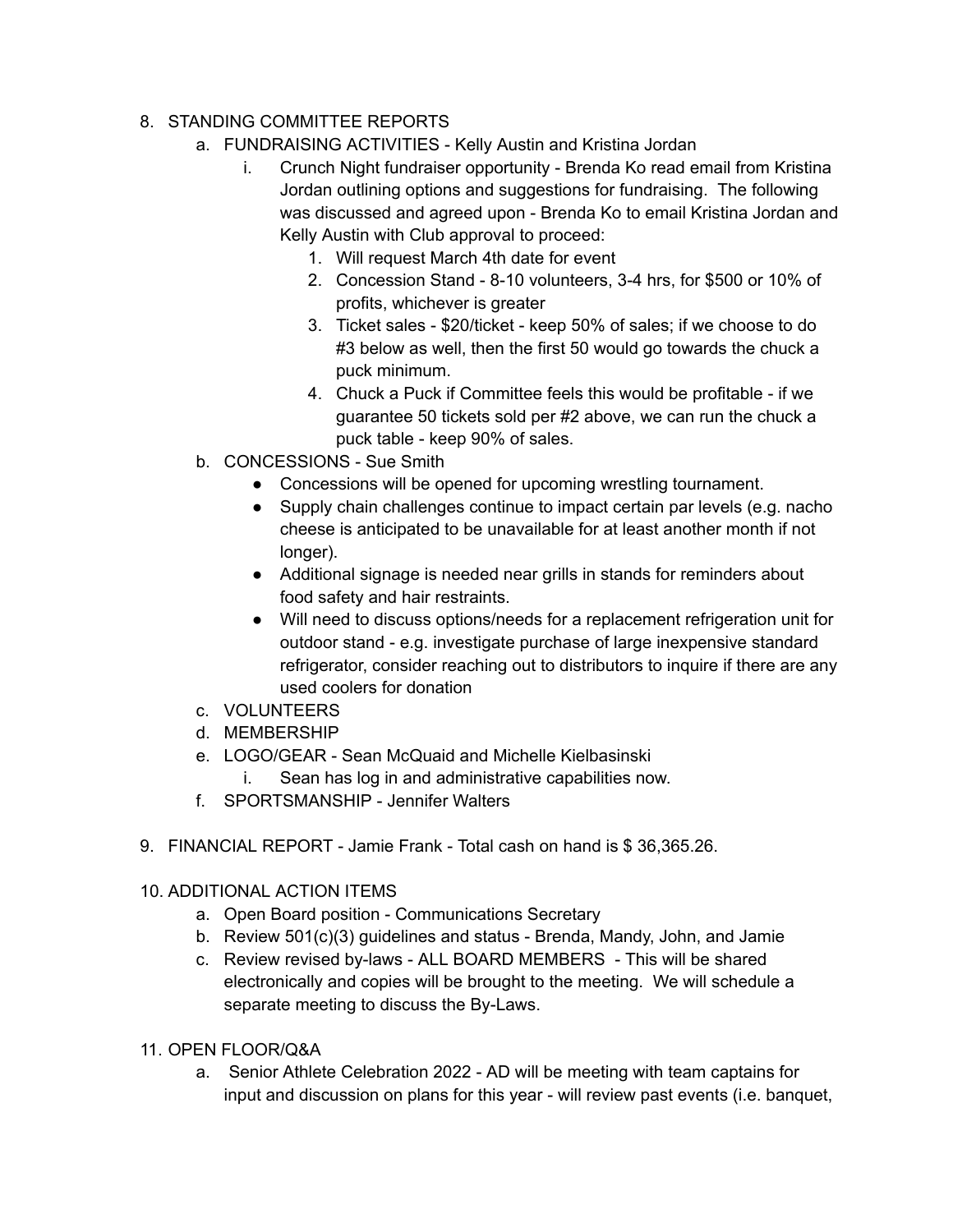## 8. STANDING COMMITTEE REPORTS

- a. FUNDRAISING ACTIVITIES Kelly Austin and Kristina Jordan
	- i. Crunch Night fundraiser opportunity Brenda Ko read email from Kristina Jordan outlining options and suggestions for fundraising. The following was discussed and agreed upon - Brenda Ko to email Kristina Jordan and Kelly Austin with Club approval to proceed:
		- 1. Will request March 4th date for event
		- 2. Concession Stand 8-10 volunteers, 3-4 hrs, for \$500 or 10% of profits, whichever is greater
		- 3. Ticket sales \$20/ticket keep 50% of sales; if we choose to do #3 below as well, then the first 50 would go towards the chuck a puck minimum.
		- 4. Chuck a Puck if Committee feels this would be profitable if we guarantee 50 tickets sold per #2 above, we can run the chuck a puck table - keep 90% of sales.
- b. CONCESSIONS Sue Smith
	- Concessions will be opened for upcoming wrestling tournament.
	- Supply chain challenges continue to impact certain par levels (e.g. nacho cheese is anticipated to be unavailable for at least another month if not longer).
	- Additional signage is needed near grills in stands for reminders about food safety and hair restraints.
	- Will need to discuss options/needs for a replacement refrigeration unit for outdoor stand - e.g. investigate purchase of large inexpensive standard refrigerator, consider reaching out to distributors to inquire if there are any used coolers for donation
- c. VOLUNTEERS
- d. MEMBERSHIP
- e. LOGO/GEAR Sean McQuaid and Michelle Kielbasinski
	- i. Sean has log in and administrative capabilities now.
- f. SPORTSMANSHIP Jennifer Walters
- 9. FINANCIAL REPORT Jamie Frank Total cash on hand is \$ 36,365.26.

## 10. ADDITIONAL ACTION ITEMS

- a. Open Board position Communications Secretary
- b. Review 501(c)(3) guidelines and status Brenda, Mandy, John, and Jamie
- c. Review revised by-laws ALL BOARD MEMBERS This will be shared electronically and copies will be brought to the meeting. We will schedule a separate meeting to discuss the By-Laws.
- 11. OPEN FLOOR/Q&A
	- a. Senior Athlete Celebration 2022 AD will be meeting with team captains for input and discussion on plans for this year - will review past events (i.e. banquet,